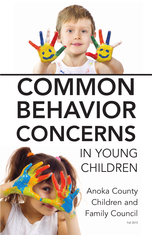

# **COMMON** BEHAVIOR **CONCERNS** IN YOUNG

Anoka County Children and Family Council

CHILDREN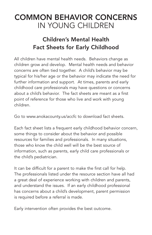### COMMON BEHAVIOR CONCERNS IN YOUNG CHILDREN

### Children's Mental Health Fact Sheets for Early Childhood

All children have mental health needs. Behaviors change as children grow and develop. Mental health needs and behavior concerns are often tied together. A child's behavior may be typical for his/her age or the behavior may indicate the need for further information and support. At times, parents and early childhood care professionals may have questions or concerns about a child's behavior. The fact sheets are meant as a first point of reference for those who live and work with young children.

Go to www.anokacounty.us/accfc to download fact sheets.

Each fact sheet lists a frequent early childhood behavior concern, some things to consider about the behavior and possible resources for families and professionals. In many situations, those who know the child well will be the best source of information, such as parents, early child care professionals or the child's pediatrician.

It can be difficult for a parent to make the first call for help. The professionals listed under the resource section have all had a great deal of experience working with children and parents, and understand the issues. If an early childhood professional has concerns about a child's development, parent permission is required before a referral is made.

Early intervention often provides the best outcome.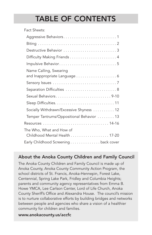### TABLE OF CONTENTS

| Fact Sheets:                             |
|------------------------------------------|
|                                          |
|                                          |
| Destructive Behavior 3                   |
|                                          |
| Impulsive Behavior5                      |
| Name Calling, Swearing                   |
| and Inappropriate Language 6             |
|                                          |
| Separation Difficulties  8               |
| Sexual Behaviors9-10                     |
|                                          |
| Socially Withdrawn/Excessive Shyness 12  |
| Temper Tantrums/Oppositional Behavior 13 |
|                                          |
| The Who, What and How of                 |
| Childhood Mental Health 17-20            |
| Early Childhood Screening back cover     |

#### About the Anoka County Children and Family Council

The Anoka County Children and Family Council is made up of Anoka County, Anoka County Community Action Program, the school districts of St. Francis, Anoka-Hennepin, Forest Lake, Centennial, Spring Lake Park, Fridley and Columbia Heights; parents and community agency representatives from Emma B. Howe YMCA, Lee Carlson Center, Lord of Life Church, Anoka County Sheriff's Office and Alexandra House. The council's mission is to nurture collaborative efforts by building bridges and networks between people and agencies who share a vision of a healthier community for children and families.

#### www.anokacounty.us/accfc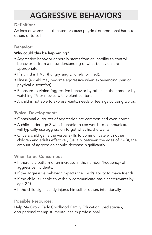# AGGRESSIVE BEHAVIORS

#### Definition:

Actions or words that threaten or cause physical or emotional harm to others or to self.

#### Behavior:

#### Why could this be happening?

- Aggressive behavior generally stems from an inability to control behavior or from a misunderstanding of what behaviors are appropriate.
- If a child is HALT (hungry, angry, lonely, or tired).
- Illness (a child may become aggressive when experiencing pain or physical discomfort).
- Exposure to violent/aggressive behavior by others in the home or by watching TV or movies with violent content.
- A child is not able to express wants, needs or feelings by using words.

#### Typical Development:

- Occasional outbursts of aggression are common and even normal.
- A child under age 3 who is unable to use words to communicate will typically use aggression to get what he/she wants.
- Once a child gains the verbal skills to communicate with other children and adults effectively (usually between the ages of 2 - 3), the amount of aggression should decrease significantly.

When to be Concerned:

- If there is a pattern or an increase in the number (frequency) of aggressive incidents.
- If the aggressive behavior impacts the child's ability to make friends.
- If the child is unable to verbally communicate basic needs/wants by age  $2\frac{1}{2}$ .
- If the child significantly injures himself or others intentionally.

#### Possible Resources:

Help Me Grow, Early Childhood Family Education, pediatrician, occupational therapist, mental health professional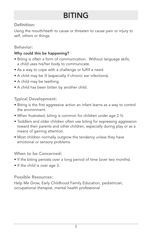# BITING

#### Definition:

Using the mouth/teeth to cause or threaten to cause pain or injury to self, others or things.

#### Behavior:

#### Why could this be happening?

- Biting is often a form of communication. Without language skills, a child uses his/her body to communicate.
- As a way to cope with a challenge or fulfill a need.
- A child may be ill (especially if chronic ear infections).
- A child may be teething.
- A child has been bitten by another child.

#### Typical Development:

- Biting is the first aggressive action an infant learns as a way to control the environment.
- When frustrated, biting is common for children under age 2 ½.
- Toddlers and older children often use biting for expressing aggression toward their parents and other children, especially during play or as a means of gaining attention.
- Most children normally outgrow the tendency unless they have emotional or sensory problems.

#### When to be Concerned:

- If the biting persists over a long period of time (over two months).
- If the child is over age 3.

Possible Resources:

Help Me Grow, Early Childhood Family Education, pediatrician, occupational therapist, mental health professional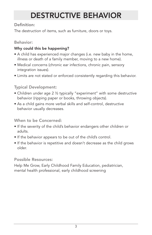# DESTRUCTIVE BEHAVIOR

#### Definition:

The destruction of items, such as furniture, doors or toys.

#### Behavior:

#### Why could this be happening?

- A child has experienced major changes (i.e. new baby in the home, illness or death of a family member, moving to a new home).
- Medical concerns (chronic ear infections, chronic pain, sensory integration issues).
- Limits are not stated or enforced consistently regarding this behavior.

#### Typical Development:

- Children under age 2 ½ typically "experiment" with some destructive behavior (ripping paper or books, throwing objects).
- As a child gains more verbal skills and self-control, destructive behavior usually decreases.

#### When to be Concerned:

- If the severity of the child's behavior endangers other children or adults.
- If the behavior appears to be out of the child's control.
- If the behavior is repetitive and doesn't decrease as the child grows older.

#### Possible Resources:

Help Me Grow, Early Childhood Family Education, pediatrician, mental health professional, early childhood screening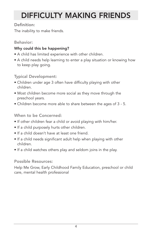# DIFFICULTY MAKING FRIENDS

#### Definition:

The inability to make friends.

#### Behavior:

#### Why could this be happening?

- A child has limited experience with other children.
- A child needs help learning to enter a play situation or knowing how to keep play going.

Typical Development:

- Children under age 3 often have difficulty playing with other children.
- Most children become more social as they move through the preschool years.
- Children become more able to share between the ages of 3 5.

When to be Concerned:

- If other children fear a child or avoid playing with him/her.
- If a child purposely hurts other children.
- If a child doesn't have at least one friend.
- If a child needs significant adult help when playing with other children.
- If a child watches others play and seldom joins in the play.

#### Possible Resources:

Help Me Grow, Early Childhood Family Education, preschool or child care, mental health professional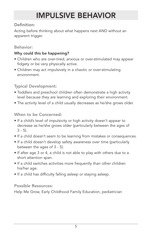# IMPULSIVE BEHAVIOR

#### Definition:

Acting before thinking about what happens next AND without an apparent trigger.

#### Behavior:

#### Why could this be happening?

- Children who are over-tired, anxious or over-stimulated may appear fidgety or be very physically active.
- Children may act impulsively in a chaotic or over-stimulating environment.

#### Typical Development:

- Toddlers and preschool children often demonstrate a high activity level because they are learning and exploring their environment.
- The activity level of a child usually decreases as he/she grows older.

#### When to be Concerned:

- If a child's level of impulsivity or high activity doesn't appear to decrease as he/she grows older (particularly between the ages of  $3 - 5$ ).
- If a child doesn't seem to be learning from mistakes or consequences.
- If a child doesn't develop safety awareness over time (particularly between the ages of 3 - 5).
- If after age 3 or 4, a child is not able to play with others due to a short attention span.
- If a child switches activities more frequently than other children his/her age.
- If a child has difficulty falling asleep or staying asleep.

#### Possible Resources:

Help Me Grow, Early Childhood Family Education, pediatrician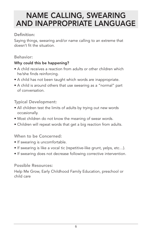### NAME CALLING, SWEARING AND INAPPROPRIATE LANGUAGE

#### Definition:

Saying things, swearing and/or name calling to an extreme that doesn't fit the situation.

#### Behavior:

#### Why could this be happening?

- A child receives a reaction from adults or other children which he/she finds reinforcing.
- A child has not been taught which words are inappropriate.
- A child is around others that use swearing as a "normal" part of conversation.

#### Typical Development:

- All children test the limits of adults by trying out new words occasionally.
- Most children do not know the meaning of swear words.
- Children will repeat words that get a big reaction from adults.

#### When to be Concerned:

- If swearing is uncomfortable.
- If swearing is like a vocal tic (repetitive-like grunt, yelps, etc…).
- If swearing does not decrease following corrective intervention.

#### Possible Resources:

Help Me Grow, Early Childhood Family Education, preschool or child care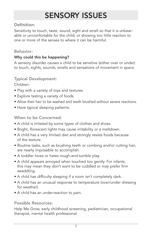### SENSORY ISSUES

#### Definition:

Sensitivity to touch, taste, sound, sight and smell so that it is unbearable or uncomfortable for the child; or showing too little reaction to one or more of the senses to where it can be harmful.

#### Behavior:

#### Why could this be happening?

A sensory disorder causes a child to be sensitive (either over or under) to touch, sights, sounds, smells and sensations of movement in space.

#### Typical Development:

Children:

- Play with a variety of toys and textures.
- Explore tasting a variety of foods.
- Allow their hair to be washed and teeth brushed without severe reactions.
- Have typical sleeping patterns.

#### When to be Concerned:

- A child is irritated by some types of clothes and shoes.
- Bright, florescent lights may cause irritability or a meltdown.
- A child has a very limited diet and strongly resists foods because of the texture.
- Routine tasks, such as brushing teeth or combing and/or cutting hair, are nearly impossible to accomplish.
- A toddler loves or hates rough-and-tumble play.
- A child appears annoyed when touched too gently. For infants, this may mean they don't want to be cuddled or may prefer firm swaddling.
- A child has difficulty sleeping if a room isn't completely dark.
- A child has an unusual response to temperature (over/under dressing for weather).
- A child has an under-reaction to pain.

#### Possible Resources:

Help Me Grow, early childhood screening, pediatrician, occupational therapist, mental health professional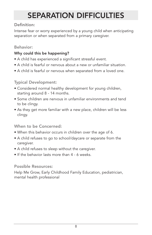# SEPARATION DIFFICULTIES

#### Definition:

Intense fear or worry experienced by a young child when anticipating separation or when separated from a primary caregiver.

#### Behavior:

#### Why could this be happening?

- A child has experienced a significant stressful event.
- A child is fearful or nervous about a new or unfamiliar situation.
- A child is fearful or nervous when separated from a loved one.

#### Typical Development:

- Considered normal healthy development for young children, starting around 8 - 14 months.
- Some children are nervous in unfamiliar environments and tend to be clingy.
- As they get more familiar with a new place, children will be less clingy.

#### When to be Concerned:

- When this behavior occurs in children over the age of 6.
- A child refuses to go to school/daycare or separate from the caregiver.
- A child refuses to sleep without the caregiver.
- If the behavior lasts more than 4 6 weeks.

#### Possible Resources:

Help Me Grow, Early Childhood Family Education, pediatrician, mental health professional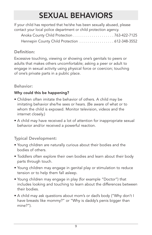## SEXUAL BEHAVIORS

| If your child has reported that he/she has been sexually abused, please |  |
|-------------------------------------------------------------------------|--|
| contact your local police department or child protection agency.        |  |
|                                                                         |  |
| Hennepin County Child Protection  612-348-3552                          |  |

#### Definition:

Excessive touching, viewing or showing one's genitals to peers or adults that makes others uncomfortable; asking a peer or adult to engage in sexual activity using physical force or coercion; touching of one's private parts in a public place.

#### Behavior:

#### Why could this be happening?

- Children often imitate the behavior of others. A child may be imitating behavior she/he sees or hears. (Be aware of what or to whom the child is exposed. Monitor television, videos and the internet closely.)
- A child may have received a lot of attention for inappropriate sexual behavior and/or received a powerful reaction.

#### Typical Development:

- Young children are naturally curious about their bodies and the bodies of others.
- Toddlers often explore their own bodies and learn about their body parts through touch.
- Young children may engage in genital play or stimulation to reduce tension or to help them fall asleep.
- Young children may engage in play (for example "Doctor") that includes looking and touching to learn about the differences between their bodies.
- A child may ask questions about mom's or dad's body ("Why don't I have breasts like mommy?" or "Why is daddy's penis bigger than mine?").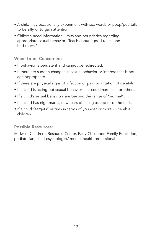- A child may occasionally experiment with sex words or poop/pee talk to be silly or to gain attention.
- Children need information, limits and boundaries regarding appropriate sexual behavior. Teach about "good touch and bad touch."

When to be Concerned:

- If behavior is persistent and cannot be redirected.
- If there are sudden changes in sexual behavior or interest that is not age appropriate.
- If there are physical signs of infection or pain or irritation of genitals.
- If a child is acting out sexual behavior that could harm self or others.
- If a child's sexual behaviors are beyond the range of "normal".
- If a child has nightmares, new fears of falling asleep or of the dark.
- If a child "targets" victims in terms of younger or more vulnerable children.

#### Possible Resources:

Midwest Children's Resource Center, Early Childhood Family Education, pediatrician, child psychologist/ mental health professional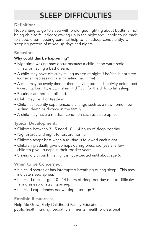# SLEEP DIFFICULTIES

#### Definition:

Not wanting to go to sleep with prolonged fighting about bedtime; not being able to fall asleep; waking up in the night and unable to go back to sleep; often needing parental help to fall asleep consistently; a sleeping pattern of mixed up days and nights.

#### Behavior:

#### Why could this be happening?

- Nighttime waking may occur because a child is too warm/cold, thirsty or having a bad dream.
- A child may have difficulty falling asleep at night if he/she is not tired (consider decreasing or eliminating nap time).
- A child may be overly tired or there may be too much activity before bed (wrestling, loud TV, etc.), making it difficult for the child to fall asleep.
- Routines are not established.
- Child may be ill or teething.
- Child has recently experienced a change such as a new home, new sibling, death or divorce in the family.
- A child may have a medical condition such as sleep apnea.

#### Typical Development:

- Children between 3 5 need 10 14 hours of sleep per day.
- Nightmares and night terrors are normal.
- Children adapt best when a routine is followed each night.
- Children gradually give up naps during preschool years; a few children give up naps in their toddler years.
- Staying dry through the night is not expected until about age 6.

#### When to be Concerned:

- If a child snores or has interrupted breathing during sleep. This may indicate sleep apnea.
- If a child doesn't get 10 14 hours of sleep per day due to difficulty falling asleep or staying asleep.
- If a child experiences bedwetting after age 7.

#### Possible Resources:

Help Me Grow, Early Childhood Family Education, public health nursing, pediatrician, mental health professional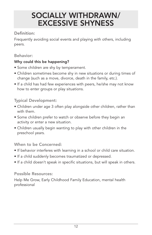### SOCIALLY WITHDRAWN/ EXCESSIVE SHYNESS

#### Definition:

Frequently avoiding social events and playing with others, including peers.

#### Behavior:

#### Why could this be happening?

- Some children are shy by temperament.
- Children sometimes become shy in new situations or during times of change (such as a move, divorce, death in the family, etc.).
- If a child has had few experiences with peers, he/she may not know how to enter groups or play situations.

#### Typical Development:

- Children under age 3 often play alongside other children, rather than with them.
- Some children prefer to watch or observe before they begin an activity or enter a new situation.
- Children usually begin wanting to play with other children in the preschool years.

#### When to be Concerned:

- If behavior interferes with learning in a school or child care situation.
- If a child suddenly becomes traumatized or depressed.
- If a child doesn't speak in specific situations, but will speak in others.

#### Possible Resources:

Help Me Grow, Early Childhood Family Education, mental health professional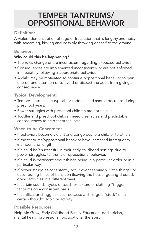### TEMPER TANTRUMS/ OPPOSITIONAL BEHAVIOR

#### Definition:

A violent demonstration of rage or frustration that is lengthy and noisy with screaming, kicking and possibly throwing oneself to the ground.

#### Behavior:

#### Why could this be happening?

- The rules change or are inconsistent regarding expected behavior.
- Consequences are implemented inconsistently or are not enforced immediately following inappropriate behavior.
- A child may be motivated to continue oppositional behavior to gain one-on-one attention or to avoid or distract the adult from giving a consequence.

#### Typical Development:

- Temper tantrums are typical for toddlers and should decrease during preschool years.
- Power struggles with preschool children are not unusual.
- Toddler and preschool children need clear rules and predictable consequences to help them feel safe.

#### When to be Concerned:

- If behaviors become violent and dangerous to a child or to others.
- If the tantrums/oppositional behavior have increased in frequency (number) and length.
- If a child isn't successful in their early childhood settings due to power struggles, tantrums or oppositional behavior.
- If a child is persistent about things being in a particular order or in a particular way.
- If power struggles consistently occur over seemingly "little things" or occur during times of transition (leaving the house, getting dressed, doing activities in a different way).
- If certain sounds, types of touch or texture of clothing "trigger" tantrums on a consistent basis.
- If conflicts or struggles occur because a child gets "stuck" on a certain thought, topic or activity.

Possible Resources:

Help Me Grow, Early Childhood Family Education, pediatrician, mental health professional, occupational therapist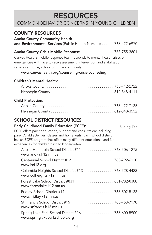### RESOURCES

COMMON BEHAVIOR CONCERNS IN YOUNG CHILDREN

### COUNTY RESOURCES

Anoka County Community Health

and Environmental Services (Public Health Nursing) . . . . . . 763-422-6970

#### Anoka County Crisis Mobile Response . . . . . . . . . . . . . . . . 763-755-3801

Canvas Health's mobile response team responds to mental health crises or emergencies with face-to-face assessment, intervention and stabilization services at home, school or in the community.

www.canvashealth.org/counseling/crisis-counseling

#### Children's Mental Health:

#### Child Protection:

#### SCHOOL DISTRICT RESOURCES

| <b>Early Childhood Family Education (ECFE):</b>                                                                                                                                                                                                                      | <b>Sliding Fee</b> |
|----------------------------------------------------------------------------------------------------------------------------------------------------------------------------------------------------------------------------------------------------------------------|--------------------|
| ECFE offers parent education, support and consultation; including<br>parent/child activities, classes and home visits. Each school district<br>has an ECFE program that offers many different educational and fun<br>experiences for children birth to kindergarten. |                    |
| Anoka-Hennepin School District #11 763-506-1275<br>www.anoka.k12.mn.us                                                                                                                                                                                               |                    |
| www.isd12.org                                                                                                                                                                                                                                                        |                    |
| Columbia Heights School District #13 763-528-4423<br>www.colheights.k12.mn.us                                                                                                                                                                                        |                    |
| www.forestlake.k12.mn.us                                                                                                                                                                                                                                             |                    |
| www.fridley.k12.mn.us                                                                                                                                                                                                                                                |                    |
| www.stfrancis.k12.mn.us                                                                                                                                                                                                                                              |                    |
| Spring Lake Park School District #16 763-600-5900<br>www.springlakeparkschools.org                                                                                                                                                                                   |                    |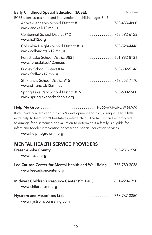| <b>Early Childhood Special Education (ECSE):</b>                                   | No Fee |
|------------------------------------------------------------------------------------|--------|
| ECSE offers assessment and intervention for children ages 3 - 5.                   |        |
| Anoka-Hennepin School District #11 763-433-4800<br>www.anoka.k12.mn.us             |        |
| www.isd12.org                                                                      |        |
| Columbia Heights School District #13 763-528-4448<br>www.colheights.k12.mn.us      |        |
| www.forestlake.k12.mn.us                                                           |        |
| Fridley School District #14 763-502-5146<br>www.fridley.k12.mn.us                  |        |
| www.stfrancis.k12.mn.us                                                            |        |
| Spring Lake Park School District #16 763-600-5900<br>www.springlakeparkschools.org |        |
|                                                                                    |        |

Help Me Grow . . . . . . . . . . . . . . . . . . . . . . . . . . . 1-866-693-GROW (4769)

If you have concerns about a child's development and a child might need a little extra help to learn, don't hesitate to refer a child. The family can be contacted to arrange for a screening or evaluation to determine if a family is eligible for infant and toddler intervention or preschool special education services.

www.helpmegrowmn.org

### MENTAL HEALTH SERVICE PROVIDERS

| www.fraser.org                                                                               |  |
|----------------------------------------------------------------------------------------------|--|
| Lee Carlson Center for Mental Health and Well Being 763-780-3036<br>www.leecarlsoncenter.org |  |
| Midwest Children's Resource Center (St. Paul) 651-220-6750<br>www.childrensmn.org            |  |
| www.nystromcounseling.com                                                                    |  |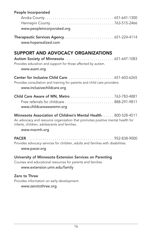| People Incorporated                                                                                                                                                                                               |
|-------------------------------------------------------------------------------------------------------------------------------------------------------------------------------------------------------------------|
| www.peopleincorporated.org                                                                                                                                                                                        |
| www.hoperealized.com                                                                                                                                                                                              |
| <b>SUPPORT AND ADVOCACY ORGANIZATIONS</b><br>Autism Society of Minnesota  651-647-1083<br>Provides education and support for those affected by autism.<br>www.ausm.org                                            |
| Provides consultation and training for parents and child care providers.<br>www.inclusivechildcare.org                                                                                                            |
| Child Care Aware of MN, Metro 763-783-4881<br>Free referrals for childcare  888-291-9811<br>www.childcareawaremn.org                                                                                              |
| Minnesota Association of Children's Mental Health 800-528-4511<br>An advocacy and resource organization that promotes positive mental health for<br>infants, children, adolescents and families.<br>www.macmh.org |
| Provides advocacy services for children, adults and families with disabilities.<br>www.pacer.org                                                                                                                  |
| University of Minnesota Extension Services on Parenting<br>Courses and educational resources for parents and families.<br>www.extension.umn.edu/family                                                            |
| Zero to Three<br>Provides information on early development.<br>www.zerotothree.org                                                                                                                                |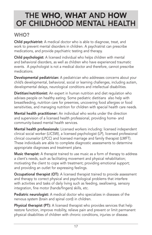### THE WHO, WHAT AND HOW OF CHILDHOOD MENTAL HEALTH

### WHO?

**Child psychiatrist:** A medical doctor who is able to diagnose, treat, and work to prevent mental disorders in children. A psychiatrist can prescribe medications, and provide psychiatric testing and therapy.

Child psychologist: A licensed individual who helps children with mental and behavioral disorders, as well as children who have experienced traumatic events. A psychologist is not a medical doctor and therefore, cannot prescribe medications.

Developmental pediatrician: A pediatrician who addresses concerns about your child's developmental, behavioral, social or learning challenges, including autism, developmental delays, neurological conditions and intellectual disabilities.

Dietitian/nutritionist: An expert in human nutrition and diet regulation who advises people on healthy eating. Some pediatric dietitians also help with breastfeeding, nutrition care for preemies, uncovering food allergies or food sensitivities, and managing nutrition for children with special health care needs.

Mental health practitioner: An individual who works under the direction and supervision of a licensed health professional, providing home- and community-based mental health services.

Mental health professionals: Licensed workers including: licensed independent clinical social worker (LICSW), a licensed psychologist (LP), licensed professional clinical counselor (LPCC) and licensed marriage and family therapist (LMFT). These individuals are able to complete diagnostic assessments to determine appropriate diagnoses and treatment plans.

**Music therapist:** A therapist trained to use music as a form of therapy to address a client's needs, such as facilitating movement and physical rehabilitation; motivating the client to cope with treatment; providing emotional support; and providing an outlet for expressing feelings.

**Occupational therapist (OT):** A licensed therapist trained to provide assessment and therapy to correct physical and psychological problems that interfere with activities and tasks of daily living such as feeding, swallowing, sensory integration, fine motor (hands/fingers) skills, etc.

**Pediatric neurologist:** A medical doctor who specializes in diseases of the nervous system (brain and spinal cord) in children.

Physical therapist (PT): A licensed therapist who provides services that help restore function, improve mobility, relieve pain and prevent or limit permanent physical disabilities of children with chronic conditions, injuries or disease.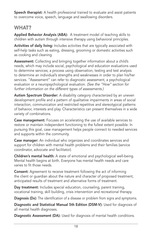Speech therapist: A health professional trained to evaluate and assist patients to overcome voice, speech, language and swallowing disorders.

### WHAT?

Applied Behavior Analysis (ABA): A treatment model of teaching skills to children with autism through intensive therapy using behavioral principles.

Activities of daily living: Includes activities that are typically associated with self-help tasks such as eating, dressing, grooming or domestic activities such as cooking and cleaning.

Assessment: Collecting and bringing together information about a child's needs, which may include social, psychological and education evaluations used to determine services; a process using observation, testing and test analysis to determine an individual's strengths and weaknesses in order to plan his/her services. "Assessment" can refer to diagnostic assessment, a psychological evaluation or a neuropsychological evaluation. (See the "How" section for further information on the different types of assessments.)

Autism Spectrum Disorder: A disability category characterized by an uneven development profile and a pattern of qualitative impairments in areas of social interaction, communication and restricted repetitive and stereotypical patterns of behavior, interests and play. Characteristics can present themselves in a wide variety of combinations.

**Case management:** Focuses on accelerating the use of available services to restore or maintain independent functioning to the fullest extent possible. In pursuing this goal, case management helps people connect to needed services and supports within the community.

Case manager: An individual who organizes and coordinates services and support for children with mental health problems and their families (service coordinator, advocate and facilitator).

Children's mental health: A state of emotional and psychological well-being. Mental health begins at birth. Everyone has mental health needs and care varies to fit those needs.

Consent: Agreement to receive treatment following the act of informing the client or guardian about the nature and character of proposed treatment, anticipated results of treatment and alternative forms of treatment.

Day treatment: Includes special education, counseling, parent training, vocational training, skill building, crisis intervention and recreational therapy.

Diagnosis (Dx): The identification of a disease or problem from signs and symptoms.

Diagnostic and Statistical Manual 5th Edition (DSM-V): Used for diagnosis of all mental health diagnoses.

Diagnostic Assessment (DA): Used for diagnosis of mental health conditions.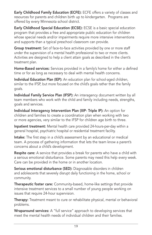Early Childhood Family Education (ECFE): ECFE offers a variety of classes and resources for parents and children birth up to kindergarten. Programs are offered by every Minnesota school district.

Early Childhood Special Education (ECSE): ECSE is a basic special education program that provides a free and appropriate public education for children whose special needs and/or impairments require more intensive interventions and supports than a typical preschool classroom can provide.

Group treatment: Set of face-to-face activities provided by one or more staff under the supervision of a mental health professional to two or more clients. Activities are designed to help a client attain goals as described in the client's treatment plan.

Home-Based services: Services provided in a family's home for either a defined time or for as long as necessary to deal with mental health concerns.

Individual Education Plan (IEP): An education plan for school-aged children, similar to the IFSP, but more focused on the child's goals rather than the family goals.

Individual Family Service Plan (IFSP): An interagency document written by all team members who work with the child and family including needs, strengths, goals and services.

Individual Interagency Intervention Plan (IIIP- Triple IP): An option for children and families to create a coordination plan when working with two or more agencies, very similar to the IFSP for children age birth to three.

Inpatient treatment: Mental health care provided 24-hours-per-day within a general hospital, psychiatric hospital or residential treatment facility.

Intake: The first step in a child's assessment by an educational or medical team. A process of gathering information that lets the team know a parent's concerns about a child's development.

**Respite care:** A service that provides a break for parents who have a child with a serious emotional disturbance. Some parents may need this help every week. Care can be provided in the home or in another location.

Serious emotional disturbance (SED): Diagnosable disorders in children and adolescents that severely disrupt daily functioning in the home, school or community.

Therapeutic foster care: Community-based, home-like settings that provide intensive treatment services to a small number of young people working on issues that require 24-hour supervision.

Therapy: Treatment meant to cure or rehabilitate physical, mental or behavioral problems.

Wraparound services: A "full service" approach to developing services that meet the mental health needs of individual children and their families.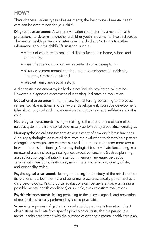### HOW?

Through these various types of assessments, the best route of mental health care can be determined for your child.

Diagnostic assessment: A written evaluation conducted by a mental health professional to determine whether a child or youth has a mental health disorder. The mental health professional interviews the child and/or family to gather information about the child's life situation, such as:

- effects of child's symptoms on ability to function in home, school and community;
- onset, frequency, duration and severity of current symptoms;
- history of current mental health problem (developmental incidents, strengths, stressors, etc.); and
- relevant family and social history.

A diagnostic assessment typically does not include psychological testing. However, a diagnostic assessment plus testing, indicates an evaluation.

Educational assessment: Informal and formal testing pertaining to the basic senses; social, emotional and behavioral development; cognitive development (play skills); physical and motor development (muscles); and self-help skills of a child.

Neurological assessment: Testing pertaining to the structure and disease of the nervous system (brain and spinal cord) usually performed by a pediatric neurologist.

Neuropsychological assessment: An assessment of how one's brain functions. A neuropsychologist looks at all data from the evaluation to determine a pattern of cognitive strengths and weaknesses and, in turn, to understand more about how the brain is functioning. Neuropsychological tests evaluate functioning in a number of areas including: intelligence, executive functions (such as planning, abstraction, conceptualization), attention, memory, language, perception, sensorimotor functions, motivation, mood state and emotion, quality of life, and personality styles.

Psychological assessment: Testing pertaining to the study of the mind in all of its relationships, both normal and abnormal processes; usually performed by a child psychologist. Psychological evaluations can be general (i.e. examining all possible mental health conditions) or specific, such as autism evaluations.

**Psychiatric assessment:** Testing pertaining to the study, diagnosis and prevention of mental illness usually performed by a child psychiatrist.

Screening: A process of gathering social and biographical information, direct observations and data from specific psychological tests about a person in a mental health care setting with the purpose of creating a mental health care plan.